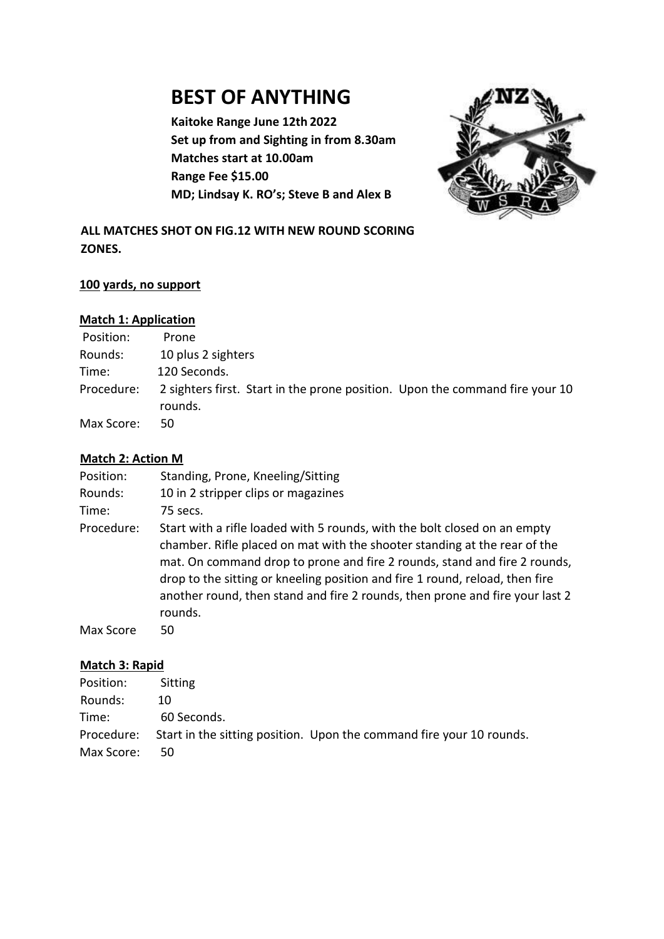# **BEST OF ANYTHING**

**Kaitoke Range June 12th 2022 Set up from and Sighting in from 8.30am Matches start at 10.00am Range Fee \$15.00 MD; Lindsay K. RO's; Steve B and Alex B**



**ALL MATCHES SHOT ON FIG.12 WITH NEW ROUND SCORING ZONES.**

## **100 yards, no support**

## **Match 1: Application**

| Position:  | Prone                                                                                   |
|------------|-----------------------------------------------------------------------------------------|
| Rounds:    | 10 plus 2 sighters                                                                      |
| Time:      | 120 Seconds.                                                                            |
| Procedure: | 2 sighters first. Start in the prone position. Upon the command fire your 10<br>rounds. |
| Max Score: | 50                                                                                      |

## **Match 2: Action M**

| Position:<br>Rounds:<br>Time: | Standing, Prone, Kneeling/Sitting<br>10 in 2 stripper clips or magazines<br>75 secs.                                                                                                                                                                                                                                                                                                                           |
|-------------------------------|----------------------------------------------------------------------------------------------------------------------------------------------------------------------------------------------------------------------------------------------------------------------------------------------------------------------------------------------------------------------------------------------------------------|
| Procedure:                    | Start with a rifle loaded with 5 rounds, with the bolt closed on an empty<br>chamber. Rifle placed on mat with the shooter standing at the rear of the<br>mat. On command drop to prone and fire 2 rounds, stand and fire 2 rounds,<br>drop to the sitting or kneeling position and fire 1 round, reload, then fire<br>another round, then stand and fire 2 rounds, then prone and fire your last 2<br>rounds. |
| Max Score                     | 50                                                                                                                                                                                                                                                                                                                                                                                                             |

## **Match 3: Rapid**

| Position:  | Sitting                                                                         |
|------------|---------------------------------------------------------------------------------|
| Rounds:    | 10                                                                              |
| Time:      | 60 Seconds.                                                                     |
|            | Procedure: Start in the sitting position. Upon the command fire your 10 rounds. |
| Max Score: | -50                                                                             |